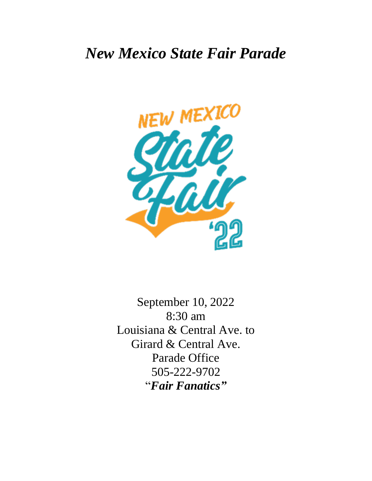# *New Mexico State Fair Parade*



September 10, 2022 8:30 am Louisiana & Central Ave. to Girard & Central Ave. Parade Office 505-222-9702 "*Fair Fanatics"*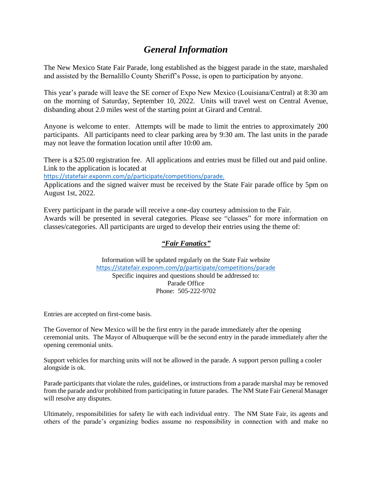# *General Information*

The New Mexico State Fair Parade, long established as the biggest parade in the state, marshaled and assisted by the Bernalillo County Sheriff's Posse, is open to participation by anyone.

This year's parade will leave the SE corner of Expo New Mexico (Louisiana/Central) at 8:30 am on the morning of Saturday, September 10, 2022. Units will travel west on Central Avenue, disbanding about 2.0 miles west of the starting point at Girard and Central.

Anyone is welcome to enter. Attempts will be made to limit the entries to approximately 200 participants. All participants need to clear parking area by 9:30 am. The last units in the parade may not leave the formation location until after 10:00 am.

There is a \$25.00 registration fee. All applications and entries must be filled out and paid online. Link to the application is located at

<https://statefair.exponm.com/p/participate/competitions/parade>.

Applications and the signed waiver must be received by the State Fair parade office by 5pm on August 1st, 2022.

Every participant in the parade will receive a one-day courtesy admission to the Fair. Awards will be presented in several categories. Please see "classes" for more information on classes/categories. All participants are urged to develop their entries using the theme of:

#### *"Fair Fanatics"*

Information will be updated regularly on the State Fair website <https://statefair.exponm.com/p/participate/competitions/parade> Specific inquires and questions should be addressed to: Parade Office Phone: 505-222-9702

Entries are accepted on first-come basis.

The Governor of New Mexico will be the first entry in the parade immediately after the opening ceremonial units. The Mayor of Albuquerque will be the second entry in the parade immediately after the opening ceremonial units.

Support vehicles for marching units will not be allowed in the parade. A support person pulling a cooler alongside is ok.

Parade participants that violate the rules, guidelines, or instructions from a parade marshal may be removed from the parade and/or prohibited from participating in future parades. The NM State Fair General Manager will resolve any disputes.

Ultimately, responsibilities for safety lie with each individual entry. The NM State Fair, its agents and others of the parade's organizing bodies assume no responsibility in connection with and make no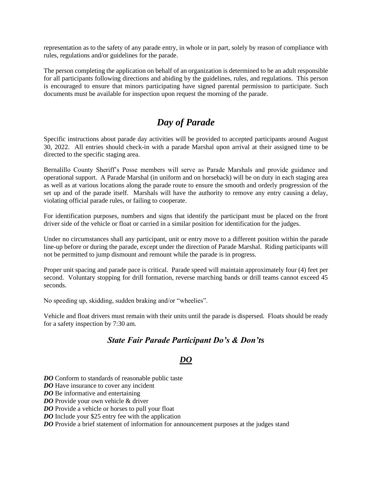representation as to the safety of any parade entry, in whole or in part, solely by reason of compliance with rules, regulations and/or guidelines for the parade.

The person completing the application on behalf of an organization is determined to be an adult responsible for all participants following directions and abiding by the guidelines, rules, and regulations. This person is encouraged to ensure that minors participating have signed parental permission to participate. Such documents must be available for inspection upon request the morning of the parade.

# *Day of Parade*

Specific instructions about parade day activities will be provided to accepted participants around August 30, 2022. All entries should check-in with a parade Marshal upon arrival at their assigned time to be directed to the specific staging area.

Bernalillo County Sheriff's Posse members will serve as Parade Marshals and provide guidance and operational support. A Parade Marshal (in uniform and on horseback) will be on duty in each staging area as well as at various locations along the parade route to ensure the smooth and orderly progression of the set up and of the parade itself. Marshals will have the authority to remove any entry causing a delay, violating official parade rules, or failing to cooperate.

For identification purposes, numbers and signs that identify the participant must be placed on the front driver side of the vehicle or float or carried in a similar position for identification for the judges.

Under no circumstances shall any participant, unit or entry move to a different position within the parade line-up before or during the parade, except under the direction of Parade Marshal. Riding participants will not be permitted to jump dismount and remount while the parade is in progress.

Proper unit spacing and parade pace is critical. Parade speed will maintain approximately four (4) feet per second. Voluntary stopping for drill formation, reverse marching bands or drill teams cannot exceed 45 seconds.

No speeding up, skidding, sudden braking and/or "wheelies".

Vehicle and float drivers must remain with their units until the parade is dispersed. Floats should be ready for a safety inspection by 7:30 am.

## *State Fair Parade Participant Do's & Don'ts*

## *DO*

*DO* Conform to standards of reasonable public taste

*DO* Have insurance to cover any incident

*DO* Be informative and entertaining

*DO* Provide your own vehicle & driver

*DO* Provide a vehicle or horses to pull your float

*DO* Include your \$25 entry fee with the application

*DO* Provide a brief statement of information for announcement purposes at the judges stand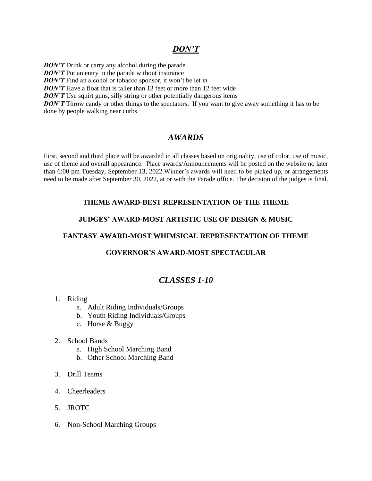# *DON'T*

*DON'T* Drink or carry any alcohol during the parade *DON'T* Put an entry in the parade without insurance *DON'T* Find an alcohol or tobacco sponsor, it won't be let in *DON'T* Have a float that is taller than 13 feet or more than 12 feet wide *DON'T* Use squirt guns, silly string or other potentially dangerous items *DON'T* Throw candy or other things to the spectators. If you want to give away something it has to be done by people walking near curbs.

# *AWARDS*

First, second and third place will be awarded in all classes based on originality, use of color, use of music, use of theme and overall appearance. Place awards/Announcements will be posted on the website no later than 6:00 pm Tuesday, September 13, 2022.Winner's awards will need to be picked up, or arrangements need to be made after September 30, 2022, at or with the Parade office. The decision of the judges is final.

#### **THEME AWARD-BEST REPRESENTATION OF THE THEME**

#### **JUDGES' AWARD-MOST ARTISTIC USE OF DESIGN & MUSIC**

#### **FANTASY AWARD-MOST WHIMSICAL REPRESENTATION OF THEME**

#### **GOVERNOR'S AWARD-MOST SPECTACULAR**

# *CLASSES 1-10*

- 1. Riding
	- a. Adult Riding Individuals/Groups
	- b. Youth Riding Individuals/Groups
	- c. Horse & Buggy
- 2. School Bands
	- a. High School Marching Band
	- b. Other School Marching Band
- 3. Drill Teams
- 4. Cheerleaders
- 5. JROTC
- 6. Non-School Marching Groups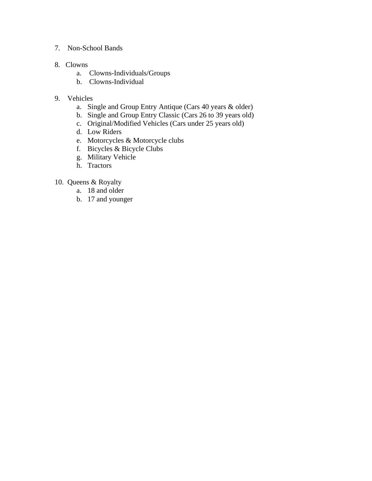#### 7. Non-School Bands

#### 8. Clowns

- a. Clowns-Individuals/Groups
- b. Clowns-Individual

#### 9. Vehicles

- a. Single and Group Entry Antique (Cars 40 years & older)
- b. Single and Group Entry Classic (Cars 26 to 39 years old)
- c. Original/Modified Vehicles (Cars under 25 years old)
- d. Low Riders
- e. Motorcycles & Motorcycle clubs
- f. Bicycles & Bicycle Clubs
- g. Military Vehicle
- h. Tractors

## 10. Queens & Royalty

- a. 18 and older
- b. 17 and younger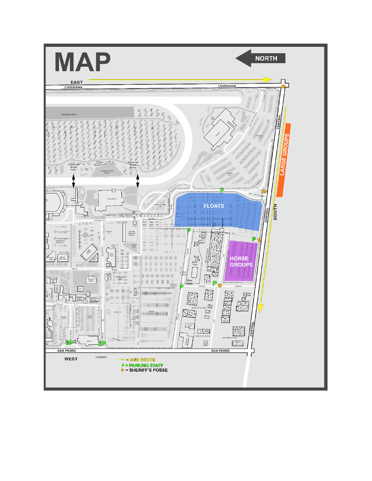